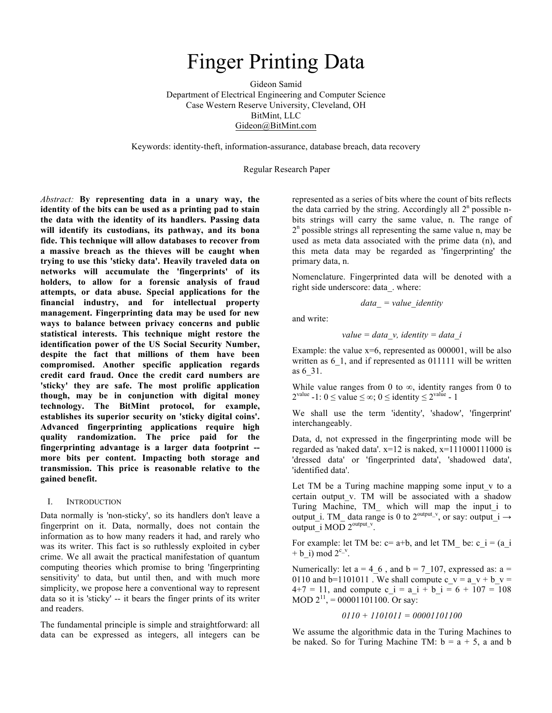# Finger Printing Data

Gideon Samid Department of Electrical Engineering and Computer Science Case Western Reserve University, Cleveland, OH BitMint, LLC Gideon@BitMint.com

Keywords: identity-theft, information-assurance, database breach, data recovery

Regular Research Paper

*Abstract:* **By representing data in a unary way, the identity of the bits can be used as a printing pad to stain the data with the identity of its handlers. Passing data will identify its custodians, its pathway, and its bona fide. This technique will allow databases to recover from a massive breach as the thieves will be caught when trying to use this 'sticky data'. Heavily traveled data on networks will accumulate the 'fingerprints' of its holders, to allow for a forensic analysis of fraud attempts, or data abuse. Special applications for the financial industry, and for intellectual property management. Fingerprinting data may be used for new ways to balance between privacy concerns and public statistical interests. This technique might restore the identification power of the US Social Security Number, despite the fact that millions of them have been compromised. Another specific application regards credit card fraud. Once the credit card numbers are 'sticky' they are safe. The most prolific application though, may be in conjunction with digital money technology. The BitMint protocol, for example, establishes its superior security on 'sticky digital coins'. Advanced fingerprinting applications require high quality randomization. The price paid for the fingerprinting advantage is a larger data footprint - more bits per content. Impacting both storage and transmission. This price is reasonable relative to the gained benefit.** 

#### I. INTRODUCTION

Data normally is 'non-sticky', so its handlers don't leave a fingerprint on it. Data, normally, does not contain the information as to how many readers it had, and rarely who was its writer. This fact is so ruthlessly exploited in cyber crime. We all await the practical manifestation of quantum computing theories which promise to bring 'fingerprinting sensitivity' to data, but until then, and with much more simplicity, we propose here a conventional way to represent data so it is 'sticky' -- it bears the finger prints of its writer and readers.

The fundamental principle is simple and straightforward: all data can be expressed as integers, all integers can be represented as a series of bits where the count of bits reflects the data carried by the string. Accordingly all  $2<sup>n</sup>$  possible nbits strings will carry the same value, n. The range of  $2<sup>n</sup>$  possible strings all representing the same value n, may be used as meta data associated with the prime data (n), and this meta data may be regarded as 'fingerprinting' the primary data, n.

Nomenclature. Fingerprinted data will be denoted with a right side underscore: data\_. where:

$$
data = value
$$
 identity

and write:

*value = data\_v, identity = data\_i*

Example: the value  $x=6$ , represented as 000001, will be also written as 6 1, and if represented as 011111 will be written as 6\_31.

While value ranges from 0 to  $\infty$ , identity ranges from 0 to  $2^{\text{value}} - 1: 0 \le \text{value} \le \infty$ ; 0  $\le$  identity  $\le 2^{\text{value}} - 1$ 

We shall use the term 'identity', 'shadow', 'fingerprint' interchangeably.

Data, d, not expressed in the fingerprinting mode will be regarded as 'naked data'.  $x=12$  is naked,  $x=111000111000$  is 'dressed data' or 'fingerprinted data', 'shadowed data', 'identified data'.

Let TM be a Turing machine mapping some input v to a certain output\_v. TM will be associated with a shadow Turing Machine, TM\_ which will map the input\_i to output i. TM\_ data range is 0 to  $2^{\text{output}}$ , or say: output  $i \rightarrow$ output i MOD  $2^{output_v}$ .

For example: let TM be:  $c = a+b$ , and let TM be:  $c_i = (a_i - a_i)$  $+ b$  i) mod  $2^{c_v}$ .

Numerically: let  $a = 4, 6$ , and  $b = 7, 107$ , expressed as: a = 0110 and b=1101011. We shall compute c\_v = a\_v + b\_v =  $4+7 = 11$ , and compute c i = a i + b i = 6 + 107 = 108 MOD  $2^{11}$ , = 00001101100. Or say:

#### *0110 + 1101011 = 00001101100*

We assume the algorithmic data in the Turing Machines to be naked. So for Turing Machine TM:  $b = a + 5$ , a and b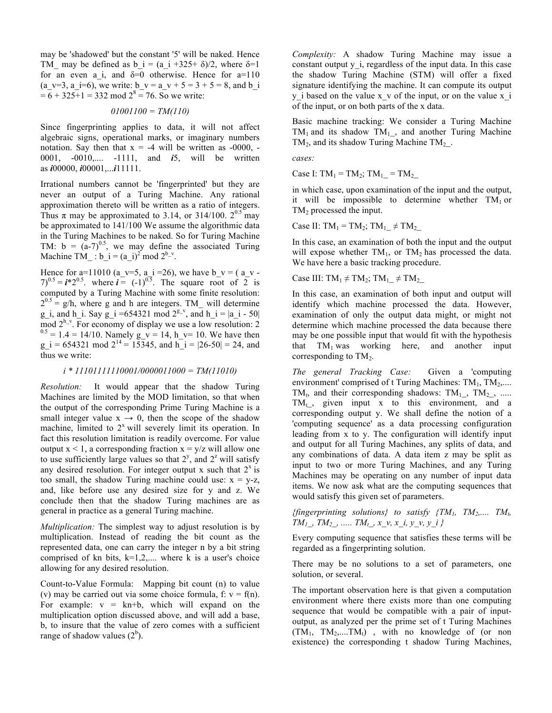may be 'shadowed' but the constant '5' will be naked. Hence TM may be defined as b i = (a i +325+  $\delta$ )/2, where  $\delta$ =1 for an even a i, and  $\delta=0$  otherwise. Hence for a=110 (a\_v=3, a\_i=6), we write: b\_v = a\_v + 5 = 3 + 5 = 8, and b\_i  $= 6 + 325 + 1 = 332 \text{ mod } 2^8 = 76$ . So we write:

## *01001100 = TM(110)*

Since fingerprinting applies to data, it will not affect algebraic signs, operational marks, or imaginary numbers notation. Say then that  $x = -4$  will be written as  $-0000$ , -0001, -0010,.... -1111, and *i*5, will be written as *i*00000, *i*00001,...*i*11111.

Irrational numbers cannot be 'fingerprinted' but they are never an output of a Turing Machine. Any rational approximation thereto will be written as a ratio of integers. Thus  $\pi$  may be approximated to 3.14, or 314/100.  $2^{0.5}$  may be approximated to 141/100 We assume the algorithmic data in the Turing Machines to be naked. So for Turing Machine TM:  $b = (a-7)^{0.5}$ , we may define the associated Turing Machine TM : b\_i =  $(a_i)^2$  mod  $2^{b_v}$ .

Hence for a=11010 (a\_v=5, a\_i =26), we have b\_v = ( a\_v - $(7)^{0.5} = i \cdot 2^{0.5}$ . where  $i = (-1)^{0.5}$ . The square root of 2 is computed by a Turing Machine with some finite resolution:  $2^{0.5}$  = g/h, where g and h are integers. TM will determine g\_i, and h\_i. Say g\_i =654321 mod  $2^{\underline{p}_y}$ , and h\_i = |a\_i - 50| mod  $2^{\underline{h}_y}$ . For economy of display we use a low resolution: 2  $m^{0.5} = 1.4 = 14/10$ . Namely g\_v = 14, h\_v= 10. We have then g i = 654321 mod  $2^{14} = 15345$ , and  $h_i = |26-50| = 24$ , and thus we write:

### *i \* 11101111110001/0000011000 = TM(11010)*

*Resolution:* It would appear that the shadow Turing Machines are limited by the MOD limitation, so that when the output of the corresponding Prime Turing Machine is a small integer value  $x \rightarrow 0$ , then the scope of the shadow machine, limited to  $2<sup>x</sup>$  will severely limit its operation. In fact this resolution limitation is readily overcome. For value output  $x < 1$ , a corresponding fraction  $x = y/z$  will allow one to use sufficiently large values so that  $2^y$ , and  $2^z$  will satisfy any desired resolution. For integer output x such that  $2^x$  is too small, the shadow Turing machine could use:  $x = y-z$ , and, like before use any desired size for y and z. We conclude then that the shadow Turing machines are as general in practice as a general Turing machine.

*Multiplication:* The simplest way to adjust resolution is by multiplication. Instead of reading the bit count as the represented data, one can carry the integer n by a bit string comprised of kn bits,  $k=1,2,...$  where k is a user's choice allowing for any desired resolution.

Count-to-Value Formula: Mapping bit count (n) to value (v) may be carried out via some choice formula, f:  $v = f(n)$ . For example:  $v = kn+b$ , which will expand on the multiplication option discussed above, and will add a base, b, to insure that the value of zero comes with a sufficient range of shadow values  $(2^b)$ .

*Complexity:* A shadow Turing Machine may issue a constant output y i, regardless of the input data. In this case the shadow Turing Machine (STM) will offer a fixed signature identifying the machine. It can compute its output  $y$  i based on the value x  $v$  of the input, or on the value  $x$  i of the input, or on both parts of the x data.

Basic machine tracking: We consider a Turing Machine  $TM_1$  and its shadow  $TM_{1}$ , and another Turing Machine  $TM_2$ , and its shadow Turing Machine TM<sub>2</sub>.

*cases:* 

Case I:  $TM_1 = TM_2$ ;  $TM_1 = TM_2$ 

in which case, upon examination of the input and the output, it will be impossible to determine whether  $TM_1$  or TM<sub>2</sub> processed the input.

Case II: TM<sub>1</sub> = TM<sub>2</sub>; TM<sub>1</sub>  $\neq$  TM<sub>2</sub>

In this case, an examination of both the input and the output will expose whether  $TM_1$ , or  $TM_2$  has processed the data. We have here a basic tracking procedure.

Case III: TM<sub>1</sub>  $\neq$  TM<sub>2</sub>; TM<sub>1</sub>  $\neq$  TM<sub>2</sub>

In this case, an examination of both input and output will identify which machine processed the data. However, examination of only the output data might, or might not determine which machine processed the data because there may be one possible input that would fit with the hypothesis that  $TM_1$  was working here, and another input corresponding to  $TM_2$ .

*The general Tracking Case:* Given a 'computing environment' comprised of t Turing Machines:  $TM_1, TM_2,...$ TM<sub>t</sub>, and their corresponding shadows: TM<sub>1</sub>, TM<sub>2</sub>, .....  $TM_t$ , given input x to this environment, and a corresponding output y. We shall define the notion of a 'computing sequence' as a data processing configuration leading from x to y. The configuration will identify input and output for all Turing Machines, any splits of data, and any combinations of data. A data item z may be split as input to two or more Turing Machines, and any Turing Machines may be operating on any number of input data items. We now ask what are the computing sequences that would satisfy this given set of parameters.

*{fingerprinting solutions} to satisfy*  ${TM_1, TM_2,... TM_b}$  $TM_1$ ,  $TM_2$ , .....  $TM_t$ ,  $x \, v, x \, i, y \, v, y \, i$  }

Every computing sequence that satisfies these terms will be regarded as a fingerprinting solution.

There may be no solutions to a set of parameters, one solution, or several.

The important observation here is that given a computation environment where there exists more than one computing sequence that would be compatible with a pair of inputoutput, as analyzed per the prime set of t Turing Machines  $(TM_1, TM_2,...TM_t)$ , with no knowledge of (or non existence) the corresponding t shadow Turing Machines,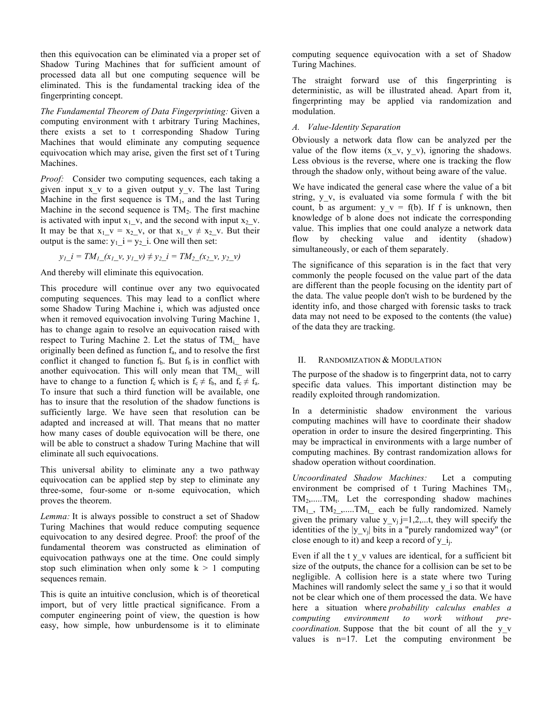then this equivocation can be eliminated via a proper set of Shadow Turing Machines that for sufficient amount of processed data all but one computing sequence will be eliminated. This is the fundamental tracking idea of the fingerprinting concept.

*The Fundamental Theorem of Data Fingerprinting:* Given a computing environment with t arbitrary Turing Machines, there exists a set to t corresponding Shadow Turing Machines that would eliminate any computing sequence equivocation which may arise, given the first set of t Turing Machines.

*Proof:* Consider two computing sequences, each taking a given input  $x \vee y$  to a given output  $y \vee y$ . The last Turing Machine in the first sequence is  $TM_1$ , and the last Turing Machine in the second sequence is  $TM_2$ . The first machine is activated with input  $x_1$ , v, and the second with input  $x_2$ , v. It may be that  $x_1$  v =  $x_2$  v, or that  $x_1$  v  $\neq$   $x_2$  v. But their output is the same:  $y_1$  i =  $y_2$  i. One will then set:

$$
y_l_i = TM_l(x_l, y_l, y_l) \neq y_2_i = TM_2(x_2, y_2, y_l)
$$

And thereby will eliminate this equivocation.

This procedure will continue over any two equivocated computing sequences. This may lead to a conflict where some Shadow Turing Machine i, which was adjusted once when it removed equivocation involving Turing Machine 1, has to change again to resolve an equivocation raised with respect to Turing Machine 2. Let the status of  $TM_i$  have originally been defined as function  $f_a$ , and to resolve the first conflict it changed to function  $f<sub>b</sub>$ . But  $f<sub>b</sub>$  is in conflict with another equivocation. This will only mean that  $TM_i$  will have to change to a function  $f_c$  which is  $f_c \neq f_b$ , and  $f_c \neq f_a$ . To insure that such a third function will be available, one has to insure that the resolution of the shadow functions is sufficiently large. We have seen that resolution can be adapted and increased at will. That means that no matter how many cases of double equivocation will be there, one will be able to construct a shadow Turing Machine that will eliminate all such equivocations.

This universal ability to eliminate any a two pathway equivocation can be applied step by step to eliminate any three-some, four-some or n-some equivocation, which proves the theorem.

*Lemma:* It is always possible to construct a set of Shadow Turing Machines that would reduce computing sequence equivocation to any desired degree. Proof: the proof of the fundamental theorem was constructed as elimination of equivocation pathways one at the time. One could simply stop such elimination when only some  $k > 1$  computing sequences remain.

This is quite an intuitive conclusion, which is of theoretical import, but of very little practical significance. From a computer engineering point of view, the question is how easy, how simple, how unburdensome is it to eliminate computing sequence equivocation with a set of Shadow Turing Machines.

The straight forward use of this fingerprinting is deterministic, as will be illustrated ahead. Apart from it, fingerprinting may be applied via randomization and modulation.

## *A. Value-Identity Separation*

Obviously a network data flow can be analyzed per the value of the flow items  $(x, y, y, y)$ , ignoring the shadows. Less obvious is the reverse, where one is tracking the flow through the shadow only, without being aware of the value.

We have indicated the general case where the value of a bit string, y v, is evaluated via some formula f with the bit count, b as argument:  $y_v = f(b)$ . If f is unknown, then knowledge of b alone does not indicate the corresponding value. This implies that one could analyze a network data flow by checking value and identity (shadow) simultaneously, or each of them separately.

The significance of this separation is in the fact that very commonly the people focused on the value part of the data are different than the people focusing on the identity part of the data. The value people don't wish to be burdened by the identity info, and those charged with forensic tasks to track data may not need to be exposed to the contents (the value) of the data they are tracking.

## II. RANDOMIZATION & MODULATION

The purpose of the shadow is to fingerprint data, not to carry specific data values. This important distinction may be readily exploited through randomization.

In a deterministic shadow environment the various computing machines will have to coordinate their shadow operation in order to insure the desired fingerprinting. This may be impractical in environments with a large number of computing machines. By contrast randomization allows for shadow operation without coordination.

*Uncoordinated Shadow Machines:* Let a computing environment be comprised of t Turing Machines  $TM_1$ ,  $TM_2, \ldots, TM_t$ . Let the corresponding shadow machines  $TM_{1}$ ,  $TM_{2}$ ,.....TM<sub>t</sub> each be fully randomized. Namely given the primary value y  $v_i$  j=1,2,...t, they will specify the identities of the  $|y\,y_i|$  bits in a "purely randomized way" (or close enough to it) and keep a record of  $y_i$ .

Even if all the t y v values are identical, for a sufficient bit size of the outputs, the chance for a collision can be set to be negligible. A collision here is a state where two Turing Machines will randomly select the same y i so that it would not be clear which one of them processed the data. We have here a situation where *probability calculus enables a computing environment to work without precoordination.* Suppose that the bit count of all the y\_v values is n=17. Let the computing environment be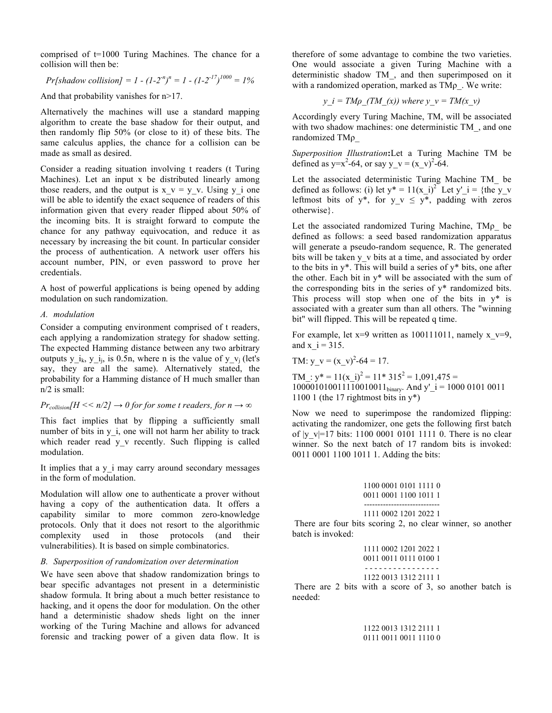comprised of t=1000 Turing Machines. The chance for a collision will then be:

Pr[shadow collision] = 
$$
1 - (1 - 2^n)^n = 1 - (1 - 2^{-17})^{1000} = 1\%
$$

And that probability vanishes for  $n > 17$ .

Alternatively the machines will use a standard mapping algorithm to create the base shadow for their output, and then randomly flip 50% (or close to it) of these bits. The same calculus applies, the chance for a collision can be made as small as desired.

Consider a reading situation involving t readers (t Turing Machines). Let an input x be distributed linearly among those readers, and the output is  $x \vee y = y \vee y$ . Using y i one will be able to identify the exact sequence of readers of this information given that every reader flipped about 50% of the incoming bits. It is straight forward to compute the chance for any pathway equivocation, and reduce it as necessary by increasing the bit count. In particular consider the process of authentication. A network user offers his account number, PIN, or even password to prove her credentials.

A host of powerful applications is being opened by adding modulation on such randomization.

## *A. modulation*

Consider a computing environment comprised of t readers, each applying a randomization strategy for shadow setting. The expected Hamming distance between any two arbitrary outputs y i<sub>k</sub>, y i<sub>i</sub>, is 0.5n, where n is the value of y  $v_i$  (let's say, they are all the same). Alternatively stated, the probability for a Hamming distance of H much smaller than n/2 is small:

## *Pr*<sub>collision</sub> $H \ll n/2$  $\rightarrow 0$  for for some t readers, for  $n \rightarrow \infty$

This fact implies that by flipping a sufficiently small number of bits in y i, one will not harm her ability to track which reader read y v recently. Such flipping is called modulation.

It implies that a y i may carry around secondary messages in the form of modulation.

Modulation will allow one to authenticate a prover without having a copy of the authentication data. It offers a capability similar to more common zero-knowledge protocols. Only that it does not resort to the algorithmic complexity used in those protocols (and their vulnerabilities). It is based on simple combinatorics.

### *B. Superposition of randomization over determination*

We have seen above that shadow randomization brings to bear specific advantages not present in a deterministic shadow formula. It bring about a much better resistance to hacking, and it opens the door for modulation. On the other hand a deterministic shadow sheds light on the inner working of the Turing Machine and allows for advanced forensic and tracking power of a given data flow. It is therefore of some advantage to combine the two varieties. One would associate a given Turing Machine with a deterministic shadow TM\_, and then superimposed on it with a randomized operation, marked as  $TM\rho$ . We write:

$$
y_i = TM\rho
$$
 (TM (x)) where  $y = TM(x, y)$ 

Accordingly every Turing Machine, TM, will be associated with two shadow machines: one deterministic TM\_, and one randomized TMρ\_

*Superposition Illustration***:**Let a Turing Machine TM be defined as y=x<sup>2</sup>-64, or say y\_v = (x\_v)<sup>2</sup>-64.

Let the associated deterministic Turing Machine TM\_ be defined as follows: (i) let  $y^* = 11(x_i)^2$  Let  $y'_i = {$ the  $y'_i$ leftmost bits of y<sup>\*</sup>, for y v  $\leq$  y<sup>\*</sup>, padding with zeros otherwise}.

Let the associated randomized Turing Machine, TMρ\_ be defined as follows: a seed based randomization apparatus will generate a pseudo-random sequence, R. The generated bits will be taken y v bits at a time, and associated by order to the bits in  $y^*$ . This will build a series of  $y^*$  bits, one after the other. Each bit in y\* will be associated with the sum of the corresponding bits in the series of y\* randomized bits. This process will stop when one of the bits in  $y^*$  is associated with a greater sum than all others. The "winning bit" will flipped. This will be repeated q time.

For example, let  $x=9$  written as 100111011, namely  $x_y=9$ , and  $x_i$  i = 315.

TM: 
$$
y_v = (x_v)^2 - 64 = 17
$$
.

TM :  $y^* = 11(x_i)^2 = 11^* 315^2 = 1,091,475 =$ 100001010011110010011binary. And y'\_i = 1000 0101 0011 1100 1 (the 17 rightmost bits in y\*)

Now we need to superimpose the randomized flipping: activating the randomizer, one gets the following first batch of  $|y| = 17$  bits: 1100 0001 0101 1111 0. There is no clear winner. So the next batch of 17 random bits is invoked: 0011 0001 1100 1011 1. Adding the bits:

|  | 1100 0001 0101 1111 0 |  |
|--|-----------------------|--|
|  | 0011 0001 1100 1011 1 |  |

---------------------------- 1111 0002 1201 2022 1

There are four bits scoring 2, no clear winner, so another batch is invoked:

|  | 1111 0002 1201 2022 1<br>0011 0011 0111 0100 1 |  |
|--|------------------------------------------------|--|
|  | . <u>.</u><br>1122 0013 1312 2111 1            |  |

There are 2 bits with a score of 3, so another batch is needed:

> 1122 0013 1312 2111 1 0111 0011 0011 1110 0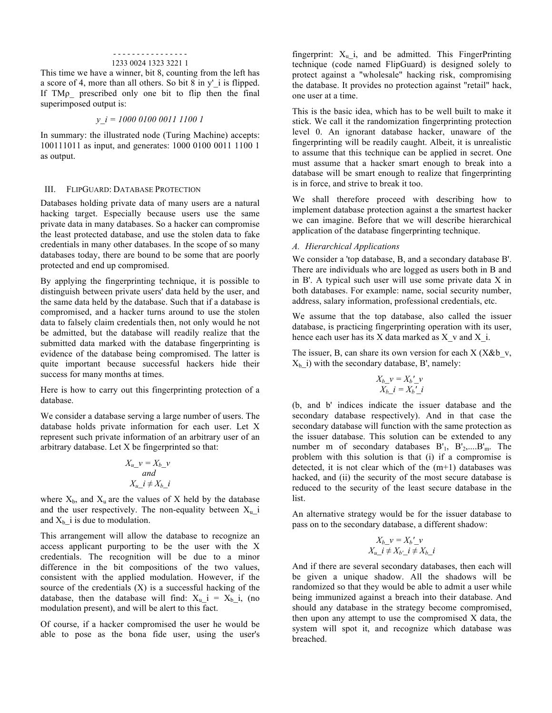#### - - - - - - - - - - - - - - - - 1233 0024 1323 3221 1

This time we have a winner, bit 8, counting from the left has a score of 4, more than all others. So bit 8 in y' i is flipped. If TMρ\_ prescribed only one bit to flip then the final superimposed output is:

## *y\_i = 1000 0100 0011 1100 1*

In summary: the illustrated node (Turing Machine) accepts: 100111011 as input, and generates: 1000 0100 0011 1100 1 as output.

#### III. FLIPGUARD: DATABASE PROTECTION

Databases holding private data of many users are a natural hacking target. Especially because users use the same private data in many databases. So a hacker can compromise the least protected database, and use the stolen data to fake credentials in many other databases. In the scope of so many databases today, there are bound to be some that are poorly protected and end up compromised.

By applying the fingerprinting technique, it is possible to distinguish between private users' data held by the user, and the same data held by the database. Such that if a database is compromised, and a hacker turns around to use the stolen data to falsely claim credentials then, not only would he not be admitted, but the database will readily realize that the submitted data marked with the database fingerprinting is evidence of the database being compromised. The latter is quite important because successful hackers hide their success for many months at times.

Here is how to carry out this fingerprinting protection of a database.

We consider a database serving a large number of users. The database holds private information for each user. Let X represent such private information of an arbitrary user of an arbitrary database. Let X be fingerprinted so that:

$$
X_{u\_}v = X_{b\_}v
$$
  
and  

$$
X_{u\_}i \neq X_{b\_}i
$$

where  $X_b$ , and  $X_u$  are the values of X held by the database and the user respectively. The non-equality between  $X_u$  i and  $X_b$ <sup>i</sup> is due to modulation.

This arrangement will allow the database to recognize an access applicant purporting to be the user with the X credentials. The recognition will be due to a minor difference in the bit compositions of the two values, consistent with the applied modulation. However, if the source of the credentials (X) is a successful hacking of the database, then the database will find:  $X_u$  i =  $X_b$  i, (no modulation present), and will be alert to this fact.

Of course, if a hacker compromised the user he would be able to pose as the bona fide user, using the user's fingerprint:  $X_u$  i, and be admitted. This FingerPrinting technique (code named FlipGuard) is designed solely to protect against a "wholesale" hacking risk, compromising the database. It provides no protection against "retail" hack, one user at a time.

This is the basic idea, which has to be well built to make it stick. We call it the randomization fingerprinting protection level 0. An ignorant database hacker, unaware of the fingerprinting will be readily caught. Albeit, it is unrealistic to assume that this technique can be applied in secret. One must assume that a hacker smart enough to break into a database will be smart enough to realize that fingerprinting is in force, and strive to break it too.

We shall therefore proceed with describing how to implement database protection against a the smartest hacker we can imagine. Before that we will describe hierarchical application of the database fingerprinting technique.

#### *A. Hierarchical Applications*

We consider a 'top database, B, and a secondary database B'. There are individuals who are logged as users both in B and in B'. A typical such user will use some private data X in both databases. For example: name, social security number, address, salary information, professional credentials, etc.

We assume that the top database, also called the issuer database, is practicing fingerprinting operation with its user, hence each user has its X data marked as  $X_v$  and  $X_i$ .

The issuer, B, can share its own version for each  $X$  ( $X&b$  v,  $X<sub>b</sub>$  i) with the secondary database, B', namely:

$$
X_b \nu = X_b' \nu
$$
  

$$
X_b \ i = X_b' \ i
$$

(b, and b' indices indicate the issuer database and the secondary database respectively). And in that case the secondary database will function with the same protection as the issuer database. This solution can be extended to any number m of secondary databases B'1, B'2,....B'm. The problem with this solution is that (i) if a compromise is detected, it is not clear which of the  $(m+1)$  databases was hacked, and (ii) the security of the most secure database is reduced to the security of the least secure database in the list.

An alternative strategy would be for the issuer database to pass on to the secondary database, a different shadow:

$$
X_{b\_}v = X_{b\_}'v
$$
  

$$
X_{u\_}i \neq X_{b\_}'i \neq X_{b\_}i
$$

And if there are several secondary databases, then each will be given a unique shadow. All the shadows will be randomized so that they would be able to admit a user while being immunized against a breach into their database. And should any database in the strategy become compromised, then upon any attempt to use the compromised X data, the system will spot it, and recognize which database was breached.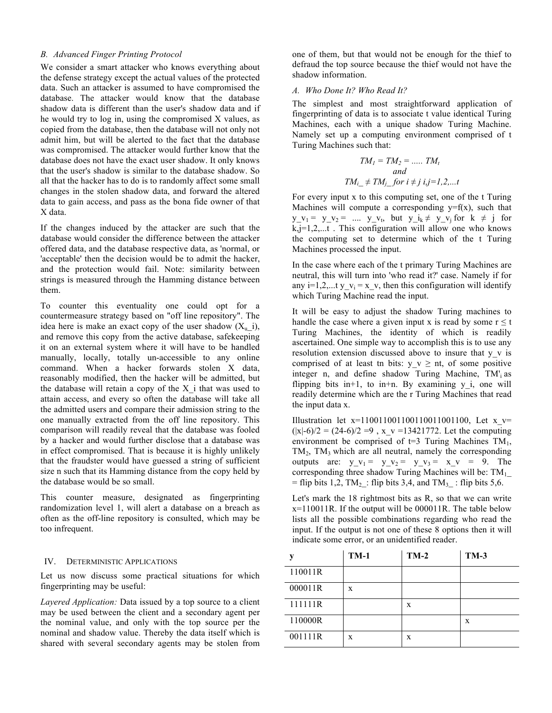#### *B. Advanced Finger Printing Protocol*

We consider a smart attacker who knows everything about the defense strategy except the actual values of the protected data. Such an attacker is assumed to have compromised the database. The attacker would know that the database shadow data is different than the user's shadow data and if he would try to log in, using the compromised X values, as copied from the database, then the database will not only not admit him, but will be alerted to the fact that the database was compromised. The attacker would further know that the database does not have the exact user shadow. It only knows that the user's shadow is similar to the database shadow. So all that the hacker has to do is to randomly affect some small changes in the stolen shadow data, and forward the altered data to gain access, and pass as the bona fide owner of that X data.

If the changes induced by the attacker are such that the database would consider the difference between the attacker offered data, and the database respective data, as 'normal, or 'acceptable' then the decision would be to admit the hacker, and the protection would fail. Note: similarity between strings is measured through the Hamming distance between them.

To counter this eventuality one could opt for a countermeasure strategy based on "off line repository". The idea here is make an exact copy of the user shadow  $(X_{u_i})$ , and remove this copy from the active database, safekeeping it on an external system where it will have to be handled manually, locally, totally un-accessible to any online command. When a hacker forwards stolen X data, reasonably modified, then the hacker will be admitted, but the database will retain a copy of the  $X$  i that was used to attain access, and every so often the database will take all the admitted users and compare their admission string to the one manually extracted from the off line repository. This comparison will readily reveal that the database was fooled by a hacker and would further disclose that a database was in effect compromised. That is because it is highly unlikely that the fraudster would have guessed a string of sufficient size n such that its Hamming distance from the copy held by the database would be so small.

This counter measure, designated as fingerprinting randomization level 1, will alert a database on a breach as often as the off-line repository is consulted, which may be too infrequent.

### IV. DETERMINISTIC APPLICATIONS

Let us now discuss some practical situations for which fingerprinting may be useful:

*Layered Application:* Data issued by a top source to a client may be used between the client and a secondary agent per the nominal value, and only with the top source per the nominal and shadow value. Thereby the data itself which is shared with several secondary agents may be stolen from

one of them, but that would not be enough for the thief to defraud the top source because the thief would not have the shadow information.

## *A. Who Done It? Who Read It?*

The simplest and most straightforward application of fingerprinting of data is to associate t value identical Turing Machines, each with a unique shadow Turing Machine. Namely set up a computing environment comprised of t Turing Machines such that:

$$
TM_{1} = TM_{2} = \dots T M_{t}
$$
  
and  

$$
TM_{i} \neq TM_{j} \text{ for } i \neq j \text{ i}, j = l, 2, \dots t
$$

For every input x to this computing set, one of the t Turing Machines will compute a corresponding  $y=f(x)$ , such that  $y_y_y = y_y_y = \dots$   $y_y_y$ , but  $y_x = y_y$  for  $k \neq j$  for  $k,j=1,2,...t$ . This configuration will allow one who knows the computing set to determine which of the t Turing Machines processed the input.

In the case where each of the t primary Turing Machines are neutral, this will turn into 'who read it?' case. Namely if for any i=1,2,...t y\_v<sub>i</sub> = x\_v, then this configuration will identify which Turing Machine read the input.

It will be easy to adjust the shadow Turing machines to handle the case where a given input x is read by some  $r \le t$ Turing Machines, the identity of which is readily ascertained. One simple way to accomplish this is to use any resolution extension discussed above to insure that y\_v is comprised of at least tn bits:  $y \thickspace v \geq nt$ , of some positive integer n, and define shadow Turing Machine, TM'<sub>i</sub> as flipping bits in+1, to in+n. By examining  $y$  i, one will readily determine which are the r Turing Machines that read the input data x.

Illustration let  $x=11001100110011001100$ , Let  $x$  v=  $(|x|-6)/2 = (24-6)/2 = 9$ ,  $x_v = 13421772$ . Let the computing environment be comprised of  $t=3$  Turing Machines TM<sub>1</sub>,  $TM_2$ ,  $TM_3$  which are all neutral, namely the corresponding outputs are:  $y_y - v_1 = y_y - v_2 = y_y - v_3 = x_y - v_1 = 9$ . The corresponding three shadow Turing Machines will be:  $TM_1$ = flip bits 1,2, TM<sub>2</sub>: flip bits 3,4, and TM<sub>3</sub>: flip bits 5,6.

Let's mark the 18 rightmost bits as R, so that we can write  $x=110011R$ . If the output will be  $000011R$ . The table below lists all the possible combinations regarding who read the input. If the output is not one of these 8 options then it will indicate some error, or an unidentified reader.

| v       | $TM-1$ | $TM-2$ | <b>TM-3</b> |
|---------|--------|--------|-------------|
| 110011R |        |        |             |
| 000011R | X      |        |             |
| 111111R |        | X      |             |
| 110000R |        |        | X           |
| 001111R | X      | X      |             |